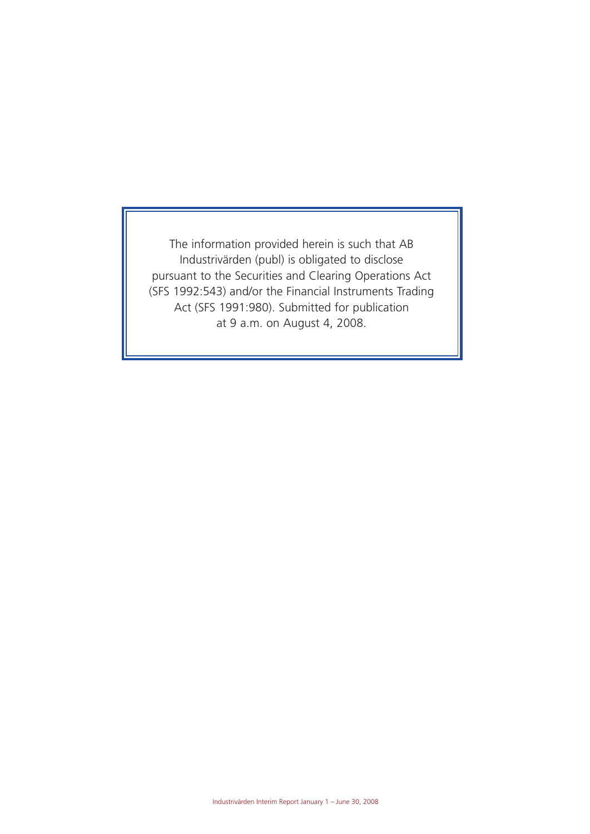The information provided herein is such that AB Industrivärden (publ) is obligated to disclose pursuant to the Securities and Clearing Operations Act (SFS 1992:543) and/or the Financial Instruments Trading Act (SFS 1991:980). Submitted for publication at 9 a.m. on August 4, 2008.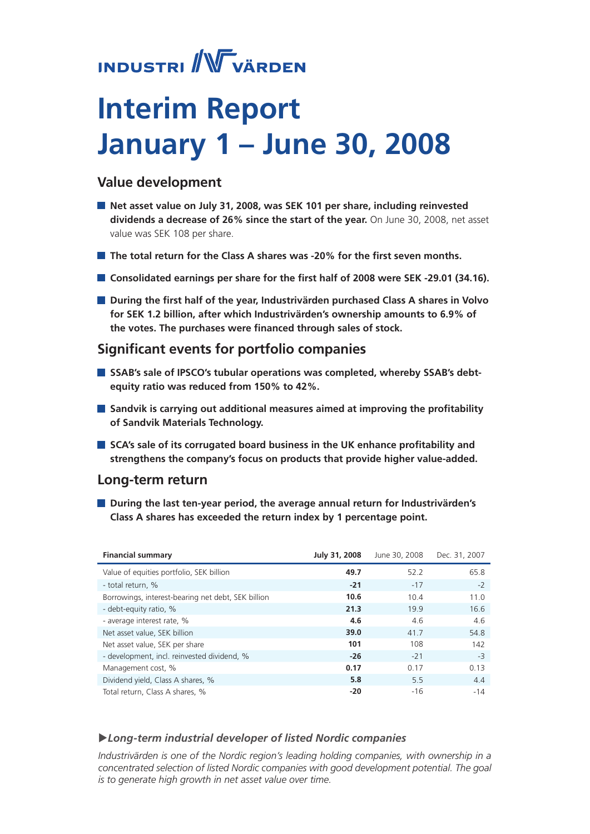# **INDUSTRI** WVÄRDEN

# **Interim Report January 1 – June 30, 2008**

## **Value development**

- **Net asset value on July 31, 2008, was SEK 101 per share, including reinvested dividends a decrease of 26% since the start of the year.** On June 30, 2008, net asset value was SEK 108 per share.
- **The total return for the Class A shares was -20% for the first seven months.**
- **Consolidated earnings per share for the first half of 2008 were SEK -29.01 (34.16).**
- **During the first half of the year, Industrivärden purchased Class A shares in Volvo for SEK 1.2 billion, after which Industrivärden's ownership amounts to 6.9% of the votes. The purchases were financed through sales of stock.**

## **Significant events for portfolio companies**

- **SSAB's sale of IPSCO's tubular operations was completed, whereby SSAB's debtequity ratio was reduced from 150% to 42%.**
- **Sandvik is carrying out additional measures aimed at improving the profitability of Sandvik Materials Technology.**
- **SCA's sale of its corrugated board business in the UK enhance profitability and strengthens the company's focus on products that provide higher value-added.**

## **Long-term return**

**During the last ten-year period, the average annual return for Industrivärden's Class A shares has exceeded the return index by 1 percentage point.**

| <b>Financial summary</b>                           | July 31, 2008 | June 30, 2008 | Dec. 31, 2007 |
|----------------------------------------------------|---------------|---------------|---------------|
| Value of equities portfolio, SEK billion           | 49.7          | 52.2          | 65.8          |
| - total return, %                                  | $-21$         | $-17$         | $-2$          |
| Borrowings, interest-bearing net debt, SEK billion | 10.6          | 10.4          | 11.0          |
| - debt-equity ratio, %                             | 21.3          | 19.9          | 16.6          |
| - average interest rate, %                         | 4.6           | 4.6           | 4.6           |
| Net asset value, SEK billion                       | 39.0          | 41.7          | 54.8          |
| Net asset value, SEK per share                     | 101           | 108           | 142           |
| - development, incl. reinvested dividend, %        | $-26$         | $-21$         | $-3$          |
| Management cost, %                                 | 0.17          | 0.17          | 0.13          |
| Dividend yield, Class A shares, %                  | 5.8           | 5.5           | 4.4           |
| Total return, Class A shares, %                    | $-20$         | $-16$         | $-14$         |

## u*Long-term industrial developer of listed Nordic companies*

*Industrivärden is one of the Nordic region's leading holding companies, with ownership in a concentrated selection of listed Nordic companies with good development potential. The goal is to generate high growth in net asset value over time.*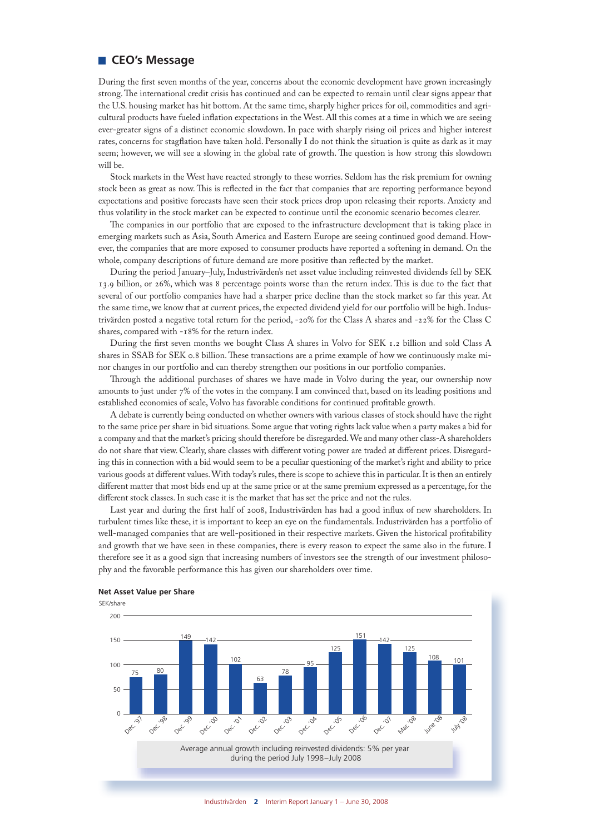### **CEO's Message**

During the first seven months of the year, concerns about the economic development have grown increasingly strong. The international credit crisis has continued and can be expected to remain until clear signs appear that the U.S. housing market has hit bottom. At the same time, sharply higher prices for oil, commodities and agricultural products have fueled inflation expectations in the West. All this comes at a time in which we are seeing ever-greater signs of a distinct economic slowdown. In pace with sharply rising oil prices and higher interest rates, concerns for stagflation have taken hold. Personally I do not think the situation is quite as dark as it may seem; however, we will see a slowing in the global rate of growth. The question is how strong this slowdown will be.

Stock markets in the West have reacted strongly to these worries. Seldom has the risk premium for owning stock been as great as now. This is reflected in the fact that companies that are reporting performance beyond expectations and positive forecasts have seen their stock prices drop upon releasing their reports. Anxiety and thus volatility in the stock market can be expected to continue until the economic scenario becomes clearer.

The companies in our portfolio that are exposed to the infrastructure development that is taking place in emerging markets such as Asia, South America and Eastern Europe are seeing continued good demand. However, the companies that are more exposed to consumer products have reported a softening in demand. On the whole, company descriptions of future demand are more positive than reflected by the market.

During the period January–July, Industrivärden's net asset value including reinvested dividends fell by SEK 13.9 billion, or 26%, which was 8 percentage points worse than the return index. This is due to the fact that several of our portfolio companies have had a sharper price decline than the stock market so far this year. At the same time, we know that at current prices, the expected dividend yield for our portfolio will be high. Industrivärden posted a negative total return for the period, -20% for the Class A shares and -22% for the Class C shares, compared with -18% for the return index.

During the first seven months we bought Class A shares in Volvo for SEK 1.2 billion and sold Class A shares in SSAB for SEK 0.8 billion. These transactions are a prime example of how we continuously make minor changes in our portfolio and can thereby strengthen our positions in our portfolio companies.

Through the additional purchases of shares we have made in Volvo during the year, our ownership now amounts to just under 7% of the votes in the company. I am convinced that, based on its leading positions and established economies of scale, Volvo has favorable conditions for continued profitable growth.

A debate is currently being conducted on whether owners with various classes of stock should have the right to the same price per share in bid situations. Some argue that voting rights lack value when a party makes a bid for a company and that the market's pricing should therefore be disregarded. We and many other class-A shareholders do not share that view. Clearly, share classes with different voting power are traded at different prices. Disregarding this in connection with a bid would seem to be a peculiar questioning of the market's right and ability to price various goods at different values. With today's rules, there is scope to achieve this in particular. It is then an entirely different matter that most bids end up at the same price or at the same premium expressed as a percentage, for the different stock classes. In such case it is the market that has set the price and not the rules.

Last year and during the first half of 2008, Industrivärden has had a good influx of new shareholders. In turbulent times like these, it is important to keep an eye on the fundamentals. Industrivärden has a portfolio of well-managed companies that are well-positioned in their respective markets. Given the historical profitability and growth that we have seen in these companies, there is every reason to expect the same also in the future. I therefore see it as a good sign that increasing numbers of investors see the strength of our investment philosophy and the favorable performance this has given our shareholders over time.



#### **Net Asset Value per Share**

Industrivärden 2 Interim Report January 1 – June 30, 2008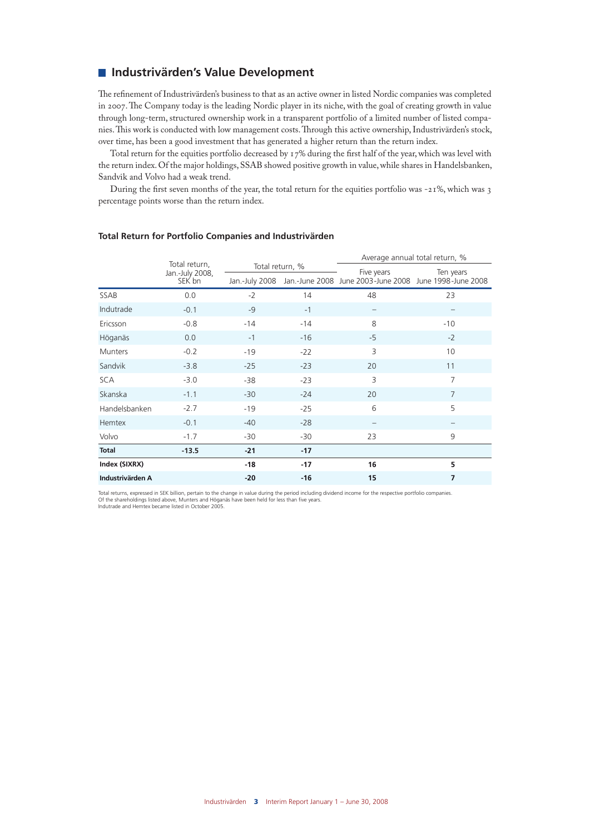### **Industrivärden's Value Development**

The refinement of Industrivärden's business to that as an active owner in listed Nordic companies was completed in 2007. The Company today is the leading Nordic player in its niche, with the goal of creating growth in value through long-term, structured ownership work in a transparent portfolio of a limited number of listed companies. This work is conducted with low management costs. Through this active ownership, Industrivärden's stock, over time, has been a good investment that has generated a higher return than the return index.

Total return for the equities portfolio decreased by 17% during the first half of the year, which was level with the return index. Of the major holdings, SSAB showed positive growth in value, while shares in Handelsbanken, Sandvik and Volvo had a weak trend.

During the first seven months of the year, the total return for the equities portfolio was -21%, which was 3 percentage points worse than the return index.

|                  |                                  |                 |       | Average annual total return, %                                        |                |  |
|------------------|----------------------------------|-----------------|-------|-----------------------------------------------------------------------|----------------|--|
|                  | Total return,<br>Jan.-July 2008, | Total return, % |       | Five years                                                            | Ten years      |  |
|                  | SEK bn                           |                 |       | Jan.-July 2008 Jan.-June 2008 June 2003-June 2008 June 1998-June 2008 |                |  |
| SSAB             | 0.0                              | $-2$            | 14    | 48                                                                    | 23             |  |
| Indutrade        | $-0.1$                           | $-9$            | $-1$  | $\qquad \qquad -$                                                     |                |  |
| Ericsson         | $-0.8$                           | $-14$           | $-14$ | 8                                                                     | $-10$          |  |
| Höganäs          | 0.0                              | $-1$            | $-16$ | $-5$                                                                  | $-2$           |  |
| <b>Munters</b>   | $-0.2$                           | $-19$           | $-22$ | 3                                                                     | 10             |  |
| Sandvik          | $-3.8$                           | $-25$           | $-23$ | 20                                                                    | 11             |  |
| <b>SCA</b>       | $-3.0$                           | $-38$           | $-23$ | 3                                                                     | $\overline{7}$ |  |
| Skanska          | $-1.1$                           | $-30$           | $-24$ | 20                                                                    | $\overline{7}$ |  |
| Handelsbanken    | $-2.7$                           | $-19$           | $-25$ | 6                                                                     | 5              |  |
| <b>Hemtex</b>    | $-0.1$                           | $-40$           | $-28$ |                                                                       |                |  |
| Volvo            | $-1.7$                           | -30             | $-30$ | 23                                                                    | 9              |  |
| <b>Total</b>     | $-13.5$                          | $-21$           | $-17$ |                                                                       |                |  |
| Index (SIXRX)    |                                  | -18             | $-17$ | 16                                                                    | 5              |  |
| Industrivärden A |                                  | $-20$           | $-16$ | 15                                                                    | 7              |  |

#### **Total Return for Portfolio Companies and Industrivärden**

Total returns, expressed in SEK billion, pertain to the change in value during the period including dividend income for the respective portfolio companies. Of the shareholdings listed above, Munters and Höganäs have been held for less than five years. Indutrade and Hemtex became listed in October 2005.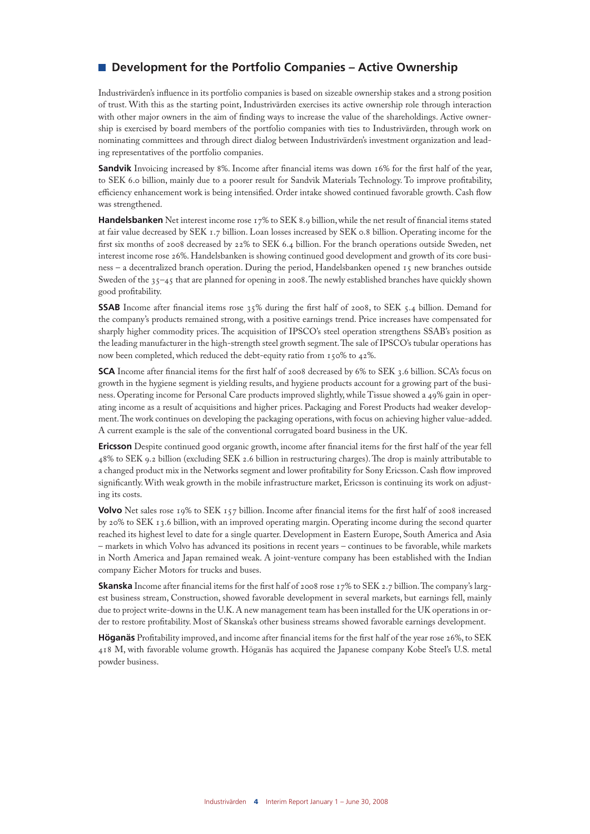## ■ Development for the Portfolio Companies – Active Ownership

Industrivärden's influence in its portfolio companies is based on sizeable ownership stakes and a strong position of trust. With this as the starting point, Industrivärden exercises its active ownership role through interaction with other major owners in the aim of finding ways to increase the value of the shareholdings. Active ownership is exercised by board members of the portfolio companies with ties to Industrivärden, through work on nominating committees and through direct dialog between Industrivärden's investment organization and leading representatives of the portfolio companies.

**Sandvik** Invoicing increased by 8%. Income after financial items was down 16% for the first half of the year, to SEK 6.0 billion, mainly due to a poorer result for Sandvik Materials Technology. To improve profitability, efficiency enhancement work is being intensified. Order intake showed continued favorable growth. Cash flow was strengthened.

**Handelsbanken** Net interest income rose 17% to SEK 8.9 billion, while the net result of financial items stated at fair value decreased by SEK 1.7 billion. Loan losses increased by SEK 0.8 billion. Operating income for the first six months of 2008 decreased by 22% to SEK 6.4 billion. For the branch operations outside Sweden, net interest income rose 26%. Handelsbanken is showing continued good development and growth of its core business – a decentralized branch operation. During the period, Handelsbanken opened 15 new branches outside Sweden of the 35–45 that are planned for opening in 2008. The newly established branches have quickly shown good profitability.

**SSAB** Income after financial items rose 35% during the first half of 2008, to SEK 5.4 billion. Demand for the company's products remained strong, with a positive earnings trend. Price increases have compensated for sharply higher commodity prices. The acquisition of IPSCO's steel operation strengthens SSAB's position as the leading manufacturer in the high-strength steel growth segment. The sale of IPSCO's tubular operations has now been completed, which reduced the debt-equity ratio from 150% to 42%.

**SCA** Income after financial items for the first half of 2008 decreased by 6% to SEK 3.6 billion. SCA's focus on growth in the hygiene segment is yielding results, and hygiene products account for a growing part of the business. Operating income for Personal Care products improved slightly, while Tissue showed a 49% gain in operating income as a result of acquisitions and higher prices. Packaging and Forest Products had weaker development. The work continues on developing the packaging operations, with focus on achieving higher value-added. A current example is the sale of the conventional corrugated board business in the UK.

**Ericsson** Despite continued good organic growth, income after financial items for the first half of the year fell 48% to SEK 9.2 billion (excluding SEK 2.6 billion in restructuring charges). The drop is mainly attributable to a changed product mix in the Networks segment and lower profitability for Sony Ericsson. Cash flow improved significantly. With weak growth in the mobile infrastructure market, Ericsson is continuing its work on adjusting its costs.

**Volvo** Net sales rose 19% to SEK 157 billion. Income after financial items for the first half of 2008 increased by 20% to SEK 13.6 billion, with an improved operating margin. Operating income during the second quarter reached its highest level to date for a single quarter. Development in Eastern Europe, South America and Asia – markets in which Volvo has advanced its positions in recent years – continues to be favorable, while markets in North America and Japan remained weak. A joint-venture company has been established with the Indian company Eicher Motors for trucks and buses.

**Skanska** Income after financial items for the first half of 2008 rose 17% to SEK 2.7 billion. The company's largest business stream, Construction, showed favorable development in several markets, but earnings fell, mainly due to project write-downs in the U.K. A new management team has been installed for the UK operations in order to restore profitability. Most of Skanska's other business streams showed favorable earnings development.

**Höganäs** Profitability improved, and income after financial items for the first half of the year rose 26%, to SEK 418 M, with favorable volume growth. Höganäs has acquired the Japanese company Kobe Steel's U.S. metal powder business.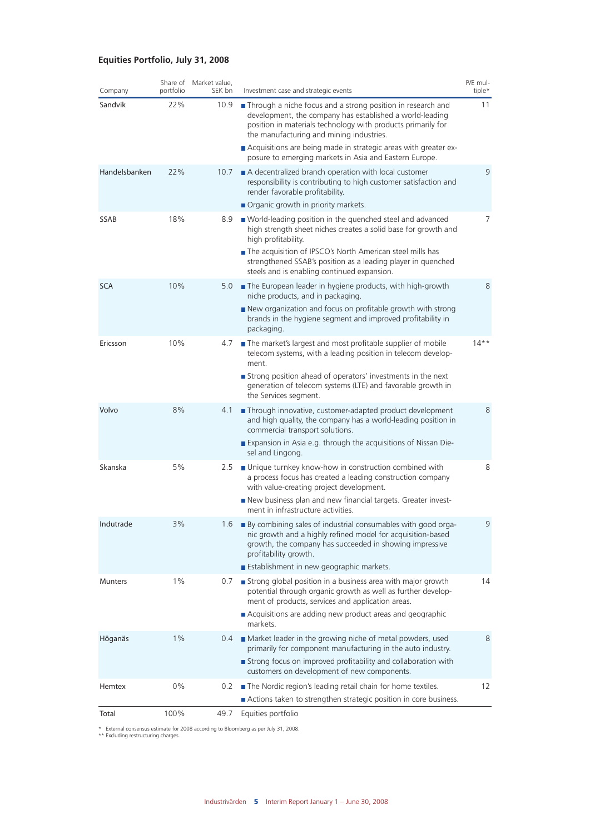### **Equities Portfolio, July 31, 2008**

| Company        | portfolio | Share of Market value,<br>SEK bn | Investment case and strategic events                                                                                                                                                                                                | P/E mul-<br>tiple* |
|----------------|-----------|----------------------------------|-------------------------------------------------------------------------------------------------------------------------------------------------------------------------------------------------------------------------------------|--------------------|
| Sandvik        | 22%       | 10.9                             | Through a niche focus and a strong position in research and<br>development, the company has established a world-leading<br>position in materials technology with products primarily for<br>the manufacturing and mining industries. | 11                 |
|                |           |                                  | Acquisitions are being made in strategic areas with greater ex-<br>posure to emerging markets in Asia and Eastern Europe.                                                                                                           |                    |
| Handelsbanken  | 22%       | 10.7                             | A decentralized branch operation with local customer<br>responsibility is contributing to high customer satisfaction and<br>render favorable profitability.                                                                         | 9                  |
|                |           |                                  | Organic growth in priority markets.                                                                                                                                                                                                 |                    |
| SSAB           | 18%       | 8.9                              | ■ World-leading position in the quenched steel and advanced<br>high strength sheet niches creates a solid base for growth and<br>high profitability.                                                                                | $\overline{7}$     |
|                |           |                                  | The acquisition of IPSCO's North American steel mills has<br>strengthened SSAB's position as a leading player in quenched<br>steels and is enabling continued expansion.                                                            |                    |
| <b>SCA</b>     | 10%       | 5.0                              | The European leader in hygiene products, with high-growth<br>niche products, and in packaging.                                                                                                                                      | 8                  |
|                |           |                                  | New organization and focus on profitable growth with strong<br>brands in the hygiene segment and improved profitability in<br>packaging.                                                                                            |                    |
| Ericsson       | 10%       | 4.7                              | The market's largest and most profitable supplier of mobile<br>telecom systems, with a leading position in telecom develop-<br>ment.                                                                                                | $14***$            |
|                |           |                                  | Strong position ahead of operators' investments in the next<br>generation of telecom systems (LTE) and favorable growth in<br>the Services segment.                                                                                 |                    |
| Volvo          | 8%        | 4.1                              | Through innovative, customer-adapted product development<br>and high quality, the company has a world-leading position in<br>commercial transport solutions.                                                                        | 8                  |
|                |           |                                  | Expansion in Asia e.g. through the acquisitions of Nissan Die-<br>sel and Lingong.                                                                                                                                                  |                    |
| Skanska        | 5%        | 2.5                              | Unique turnkey know-how in construction combined with<br>a process focus has created a leading construction company<br>with value-creating project development.                                                                     | 8                  |
|                |           |                                  | New business plan and new financial targets. Greater invest-<br>ment in infrastructure activities.                                                                                                                                  |                    |
| Indutrade      | 3%        | 1.6                              | By combining sales of industrial consumables with good orga-<br>nic growth and a highly refined model for acquisition-based<br>growth, the company has succeeded in showing impressive<br>profitability growth.                     | 9                  |
|                |           |                                  | Establishment in new geographic markets.                                                                                                                                                                                            |                    |
| <b>Munters</b> | $1\%$     | 0.7                              | Strong global position in a business area with major growth<br>potential through organic growth as well as further develop-<br>ment of products, services and application areas.                                                    | 14                 |
|                |           |                                  | Acquisitions are adding new product areas and geographic<br>markets.                                                                                                                                                                |                    |
| Höganäs        | 1%        | 0.4                              | Market leader in the growing niche of metal powders, used<br>primarily for component manufacturing in the auto industry.                                                                                                            | 8                  |
|                |           |                                  | Strong focus on improved profitability and collaboration with<br>customers on development of new components.                                                                                                                        |                    |
| Hemtex         | 0%        | 0.2                              | The Nordic region's leading retail chain for home textiles.<br>Actions taken to strengthen strategic position in core business.                                                                                                     | $12 \overline{ }$  |
| Total          | 100%      | 49.7                             | Equities portfolio                                                                                                                                                                                                                  |                    |
|                |           |                                  |                                                                                                                                                                                                                                     |                    |

\* External consensus estimate for 2008 according to Bloomberg as per July 31, 2008. \*\* Excluding restructuring charges.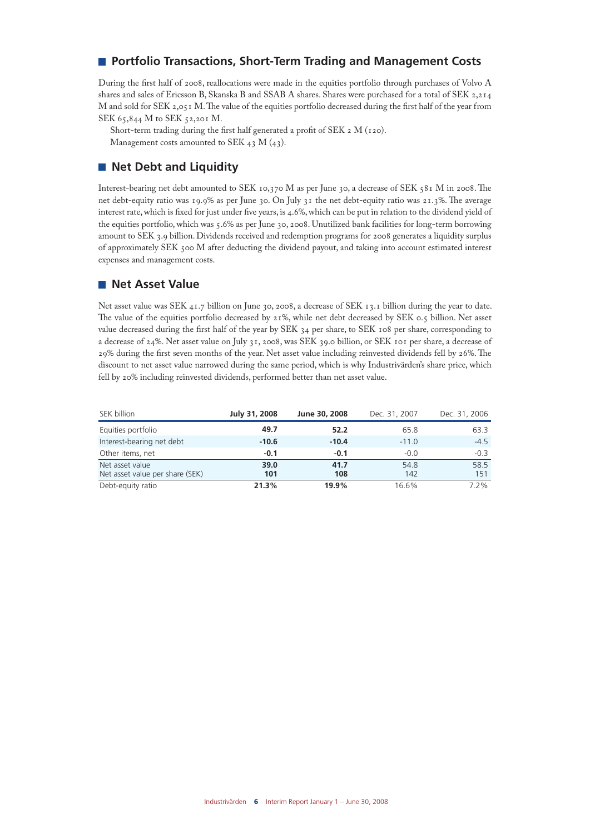## **Portfolio Transactions, Short-Term Trading and Management Costs**

During the first half of 2008, reallocations were made in the equities portfolio through purchases of Volvo A shares and sales of Ericsson B, Skanska B and SSAB A shares. Shares were purchased for a total of SEK 2,214 M and sold for SEK 2,051 M. The value of the equities portfolio decreased during the first half of the year from SEK 65,844 M to SEK 52,201 M.

Short-term trading during the first half generated a profit of SEK 2 M (120). Management costs amounted to SEK  $_4$ 3 M  $(43)$ .

### **Net Debt and Liquidity**

Interest-bearing net debt amounted to SEK 10,370 M as per June 30, a decrease of SEK 581 M in 2008. The net debt-equity ratio was 19.9% as per June 30. On July 31 the net debt-equity ratio was 21.3%. The average interest rate, which is fixed for just under five years, is 4.6%, which can be put in relation to the dividend yield of the equities portfolio, which was 5.6% as per June 30, 2008. Unutilized bank facilities for long-term borrowing amount to SEK 3.9 billion. Dividends received and redemption programs for 2008 generates a liquidity surplus of approximately SEK 500 M after deducting the dividend payout, and taking into account estimated interest expenses and management costs.

#### **Net Asset Value**

Net asset value was SEK 41.7 billion on June 30, 2008, a decrease of SEK 13.1 billion during the year to date. The value of the equities portfolio decreased by 21%, while net debt decreased by SEK 0.5 billion. Net asset value decreased during the first half of the year by SEK 34 per share, to SEK 108 per share, corresponding to a decrease of 24%. Net asset value on July 31, 2008, was SEK 39.0 billion, or SEK 101 per share, a decrease of 29% during the first seven months of the year. Net asset value including reinvested dividends fell by 26%. The discount to net asset value narrowed during the same period, which is why Industrivärden's share price, which fell by 20% including reinvested dividends, performed better than net asset value.

| SEK billion                                        | July 31, 2008 | June 30, 2008 | Dec. 31, 2007 | Dec. 31, 2006 |
|----------------------------------------------------|---------------|---------------|---------------|---------------|
| Equities portfolio                                 | 49.7          | 52.2          | 65.8          | 63.3          |
| Interest-bearing net debt                          | $-10.6$       | $-10.4$       | $-11.0$       | $-4.5$        |
| Other items, net                                   | $-0.1$        | $-0.1$        | $-0.0$        | $-0.3$        |
| Net asset value<br>Net asset value per share (SEK) | 39.0<br>101   | 41.7<br>108   | 54.8<br>142   | 58.5<br>151   |
| Debt-equity ratio                                  | 21.3%         | 19.9%         | 16.6%         | $7.2\%$       |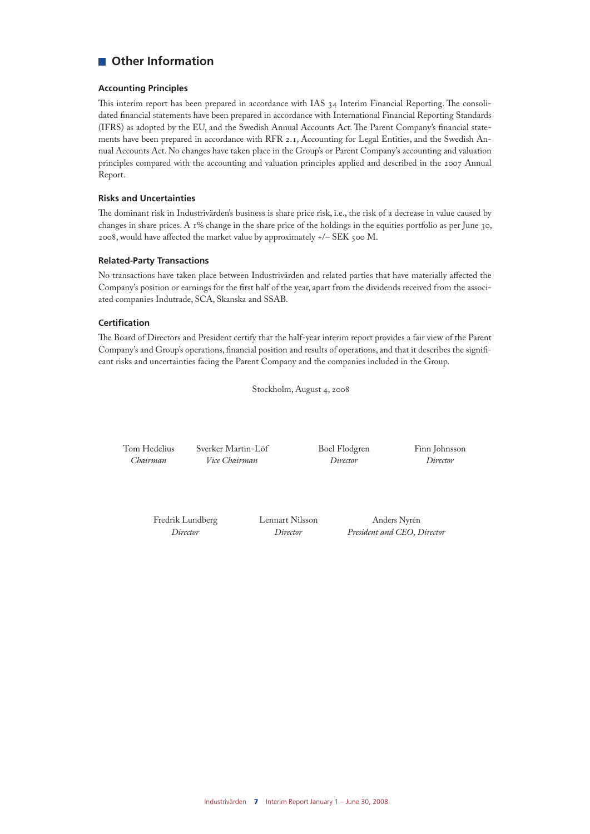## **Other Information**

#### **Accounting Principles**

This interim report has been prepared in accordance with IAS 34 Interim Financial Reporting. The consolidated financial statements have been prepared in accordance with International Financial Reporting Standards (IFRS) as adopted by the EU, and the Swedish Annual Accounts Act. The Parent Company's financial statements have been prepared in accordance with RFR 2.1, Accounting for Legal Entities, and the Swedish Annual Accounts Act. No changes have taken place in the Group's or Parent Company's accounting and valuation principles compared with the accounting and valuation principles applied and described in the 2007 Annual Report.

#### **Risks and Uncertainties**

The dominant risk in Industrivärden's business is share price risk, i.e., the risk of a decrease in value caused by changes in share prices. A 1% change in the share price of the holdings in the equities portfolio as per June 30, 2008, would have affected the market value by approximately +/– SEK 500 M.

#### **Related-Party Transactions**

No transactions have taken place between Industrivärden and related parties that have materially affected the Company's position or earnings for the first half of the year, apart from the dividends received from the associated companies Indutrade, SCA, Skanska and SSAB.

#### **Certification**

The Board of Directors and President certify that the half-year interim report provides a fair view of the Parent Company's and Group's operations, financial position and results of operations, and that it describes the significant risks and uncertainties facing the Parent Company and the companies included in the Group.

Stockholm, August 4, 2008

Tom Hedelius Sverker Martin-Löf Boel Flodgren Finn Johnsson *Vice Chairman* 

Fredrik Lundberg Lennart Nilsson Anders Nyrén<br> *Director Director President and CEO* 

*Director Director President and CEO, Director*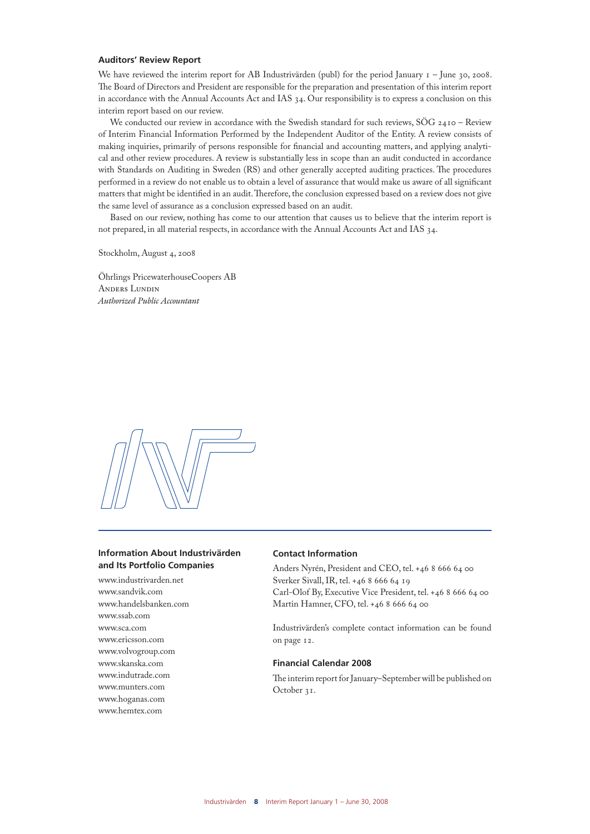#### **Auditors' Review Report**

We have reviewed the interim report for AB Industrivärden (publ) for the period January  $I -$  June 30, 2008. The Board of Directors and President are responsible for the preparation and presentation of this interim report in accordance with the Annual Accounts Act and IAS 34. Our responsibility is to express a conclusion on this interim report based on our review.

We conducted our review in accordance with the Swedish standard for such reviews, SÖG 2410 – Review of Interim Financial Information Performed by the Independent Auditor of the Entity. A review consists of making inquiries, primarily of persons responsible for financial and accounting matters, and applying analytical and other review procedures. A review is substantially less in scope than an audit conducted in accordance with Standards on Auditing in Sweden (RS) and other generally accepted auditing practices. The procedures performed in a review do not enable us to obtain a level of assurance that would make us aware of all significant matters that might be identified in an audit. Therefore, the conclusion expressed based on a review does not give the same level of assurance as a conclusion expressed based on an audit.

Based on our review, nothing has come to our attention that causes us to believe that the interim report is not prepared, in all material respects, in accordance with the Annual Accounts Act and IAS 34.

Stockholm, August 4, 2008

Öhrlings PricewaterhouseCoopers AB Anders Lundin *Authorized Public Accountant*



#### **Information About Industrivärden and Its Portfolio Companies**

www.industrivarden.net www.sandvik.com www.handelsbanken.com www.ssab.com www.sca.com www.ericsson.com www.volvogroup.com www.skanska.com www.indutrade.com www.munters.com www.hoganas.com www.hemtex.com

#### **Contact Information**

Anders Nyrén, President and CEO, tel. +46 8 666 64 00 Sverker Sivall, IR, tel. +46 8 666 64 19 Carl-Olof By, Executive Vice President, tel. +46 8 666 64 00 Martin Hamner, CFO, tel. +46 8 666 64 00

Industrivärden's complete contact information can be found on page 12.

#### **Financial Calendar 2008**

The interim report for January–September will be published on October 31.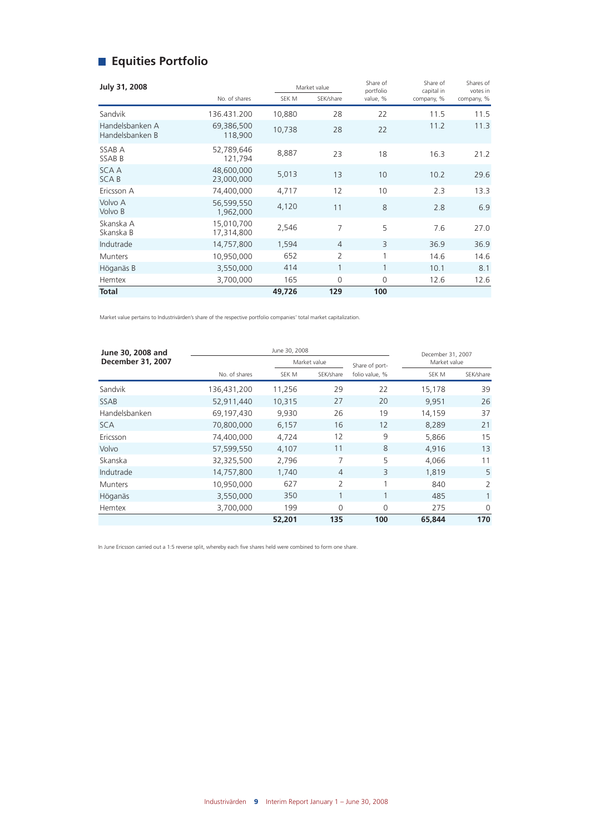## **Equities Portfolio**

| July 31, 2008                      |                          |        | Market value   |                       | Share of<br>capital in | Shares of<br>votes in |
|------------------------------------|--------------------------|--------|----------------|-----------------------|------------------------|-----------------------|
|                                    | No. of shares            | SEK M  | SEK/share      | portfolio<br>value, % | company, %             | company, %            |
| Sandvik                            | 136.431.200              | 10,880 | 28             | 22                    | 11.5                   | 11.5                  |
| Handelsbanken A<br>Handelsbanken B | 69,386,500<br>118,900    | 10,738 | 28             | 22                    | 11.2                   | 11.3                  |
| SSAB A<br><b>SSABB</b>             | 52,789,646<br>121,794    | 8,887  | 23             | 18                    | 16.3                   | 21.2                  |
| <b>SCAA</b><br><b>SCAB</b>         | 48,600,000<br>23,000,000 | 5,013  | 13             | 10                    | 10.2                   | 29.6                  |
| Ericsson A                         | 74,400,000               | 4,717  | 12             | 10                    | 2.3                    | 13.3                  |
| Volvo A<br>Volvo B                 | 56,599,550<br>1,962,000  | 4,120  | 11             | 8                     | 2.8                    | 6.9                   |
| Skanska A<br>Skanska B             | 15,010,700<br>17,314,800 | 2,546  | 7              | 5                     | 7.6                    | 27.0                  |
| Indutrade                          | 14,757,800               | 1,594  | $\overline{4}$ | 3                     | 36.9                   | 36.9                  |
| <b>Munters</b>                     | 10,950,000               | 652    | $\overline{2}$ | 1                     | 14.6                   | 14.6                  |
| Höganäs B                          | 3,550,000                | 414    | $\mathbf{1}$   | $\mathbf{1}$          | 10.1                   | 8.1                   |
| <b>Hemtex</b>                      | 3,700,000                | 165    | $\mathbf 0$    | $\overline{0}$        | 12.6                   | 12.6                  |
| <b>Total</b>                       |                          | 49,726 | 129            | 100                   |                        |                       |

Market value pertains to Industrivärden's share of the respective portfolio companies' total market capitalization.

| June 30, 2008 and        |               | December 31, 2007 |                |                |              |              |
|--------------------------|---------------|-------------------|----------------|----------------|--------------|--------------|
| <b>December 31, 2007</b> |               |                   | Market value   |                | Market value |              |
|                          | No. of shares | SEK M             | SEK/share      | folio value. % | SEK M        | SEK/share    |
| Sandvik                  | 136,431,200   | 11,256            | 29             | 22             | 15,178       | 39           |
| <b>SSAB</b>              | 52,911,440    | 10,315            | 27             | 20             | 9,951        | 26           |
| Handelsbanken            | 69,197,430    | 9.930             | 26             | 19             | 14,159       | 37           |
| <b>SCA</b>               | 70,800,000    | 6,157             | 16             | 12             | 8,289        | 21           |
| Ericsson                 | 74,400,000    | 4,724             | 12             | 9              | 5.866        | 15           |
| Volvo                    | 57,599,550    | 4,107             | 11             | 8              | 4,916        | 13           |
| Skanska                  | 32,325,500    | 2,796             | 7              | 5              | 4,066        | 11           |
| Indutrade                | 14,757,800    | 1,740             | $\overline{4}$ | 3              | 1,819        | 5            |
| <b>Munters</b>           | 10,950,000    | 627               | 2              | 1              | 840          | 2            |
| Höganäs                  | 3,550,000     | 350               |                | 1              | 485          | $\mathbf{1}$ |
| <b>Hemtex</b>            | 3,700,000     | 199               | $\Omega$       | $\Omega$       | 275          | $\Omega$     |
|                          |               | 52,201            | 135            | 100            | 65,844       | 170          |

In June Ericsson carried out a 1:5 reverse split, whereby each five shares held were combined to form one share.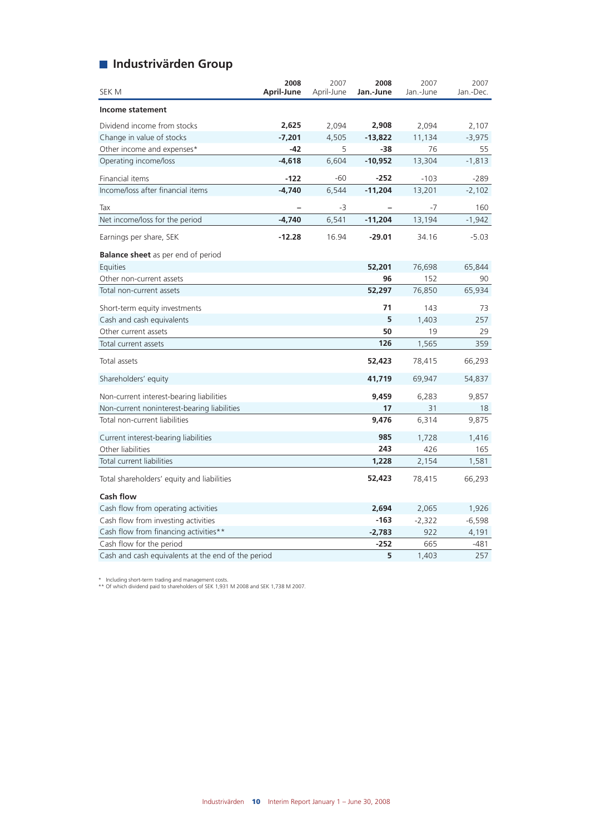## **Industrivärden Group**

| SEK M                                              | 2008<br>April-June | 2007<br>April-June | 2008<br>Jan.-June | 2007<br>Jan.-June | 2007<br>Jan.-Dec. |
|----------------------------------------------------|--------------------|--------------------|-------------------|-------------------|-------------------|
| Income statement                                   |                    |                    |                   |                   |                   |
| Dividend income from stocks                        | 2,625              | 2,094              | 2,908             | 2,094             | 2,107             |
| Change in value of stocks                          | $-7,201$           | 4,505              | $-13,822$         | 11,134            | $-3,975$          |
| Other income and expenses*                         | $-42$              | 5                  | -38               | 76                | 55                |
| Operating income/loss                              | $-4,618$           | 6,604              | $-10,952$         | 13,304            | $-1,813$          |
| Financial items                                    | $-122$             | -60                | $-252$            | $-103$            | -289              |
| Income/loss after financial items                  | $-4,740$           | 6,544              | $-11,204$         | 13,201            | $-2,102$          |
| Tax                                                |                    | -3                 |                   | $-7$              | 160               |
| Net income/loss for the period                     | $-4,740$           | 6,541              | $-11,204$         | 13,194            | $-1,942$          |
| Earnings per share, SEK                            | $-12.28$           | 16.94              | $-29.01$          | 34.16             | $-5.03$           |
| <b>Balance sheet</b> as per end of period          |                    |                    |                   |                   |                   |
| Equities                                           |                    |                    | 52,201            | 76,698            | 65,844            |
| Other non-current assets                           |                    |                    | 96                | 152               | 90                |
| Total non-current assets                           |                    |                    | 52,297            | 76,850            | 65,934            |
| Short-term equity investments                      |                    |                    | 71                | 143               | 73                |
| Cash and cash equivalents                          |                    |                    | 5                 | 1,403             | 257               |
| Other current assets                               |                    |                    | 50                | 19                | 29                |
| Total current assets                               |                    |                    | 126               | 1,565             | 359               |
| Total assets                                       |                    |                    | 52,423            | 78,415            | 66,293            |
| Shareholders' equity                               |                    |                    | 41,719            | 69,947            | 54,837            |
| Non-current interest-bearing liabilities           |                    |                    | 9,459             | 6,283             | 9,857             |
| Non-current noninterest-bearing liabilities        |                    |                    | 17                | 31                | 18                |
| Total non-current liabilities                      |                    |                    | 9,476             | 6,314             | 9,875             |
| Current interest-bearing liabilities               |                    |                    | 985               | 1,728             | 1,416             |
| Other liabilities                                  |                    |                    | 243               | 426               | 165               |
| Total current liabilities                          |                    |                    | 1,228             | 2,154             | 1,581             |
| Total shareholders' equity and liabilities         |                    |                    | 52,423            | 78,415            | 66,293            |
| <b>Cash flow</b>                                   |                    |                    |                   |                   |                   |
| Cash flow from operating activities                |                    |                    | 2,694             | 2,065             | 1,926             |
| Cash flow from investing activities                |                    |                    | $-163$            | $-2,322$          | $-6,598$          |
| Cash flow from financing activities**              |                    |                    | $-2,783$          | 922               | 4,191             |
| Cash flow for the period                           |                    |                    | $-252$            | 665               | -481              |
| Cash and cash equivalents at the end of the period |                    |                    | 5                 | 1,403             | 257               |

\* Including short-term trading and management costs. \*\* Of which dividend paid to shareholders of SEK 1,931 M 2008 and SEK 1,738 M 2007.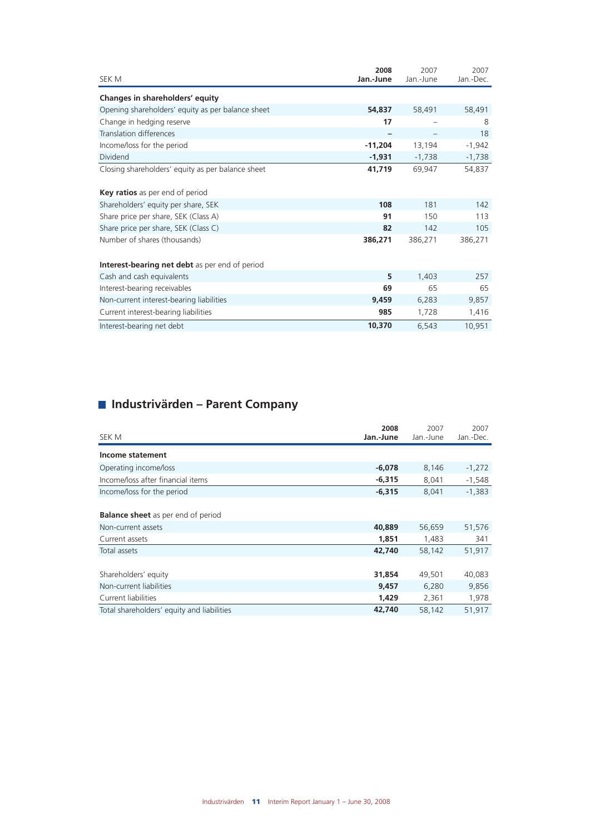| SEK M                                             | 2008<br>Jan.-June | 2007<br>Jan.-June | 2007<br>Jan.-Dec. |
|---------------------------------------------------|-------------------|-------------------|-------------------|
| Changes in shareholders' equity                   |                   |                   |                   |
| Opening shareholders' equity as per balance sheet | 54,837            | 58,491            | 58,491            |
| Change in hedging reserve                         | 17                |                   | 8                 |
| Translation differences                           |                   |                   | 18                |
| Income/loss for the period                        | $-11,204$         | 13,194            | $-1,942$          |
| Dividend                                          | $-1,931$          | $-1,738$          | $-1,738$          |
| Closing shareholders' equity as per balance sheet | 41,719            | 69,947            | 54,837            |
| <b>Key ratios</b> as per end of period            |                   |                   |                   |
| Shareholders' equity per share, SEK               | 108               | 181               | 142               |
| Share price per share, SEK (Class A)              | 91                | 150               | 113               |
| Share price per share, SEK (Class C)              | 82                | 142               | 105               |
| Number of shares (thousands)                      | 386,271           | 386,271           | 386,271           |
| Interest-bearing net debt as per end of period    |                   |                   |                   |
| Cash and cash equivalents                         | 5                 | 1,403             | 257               |
| Interest-bearing receivables                      | 69                | 65                | 65                |
| Non-current interest-bearing liabilities          | 9,459             | 6,283             | 9,857             |
| Current interest-bearing liabilities              | 985               | 1,728             | 1,416             |
| Interest-bearing net debt                         | 10,370            | 6,543             | 10,951            |

## **Industrivärden – Parent Company**

| SEK M                                                                             | 2008<br>Jan.-June        | 2007<br>Jan.-June        | 2007<br>Jan.-Dec.        |
|-----------------------------------------------------------------------------------|--------------------------|--------------------------|--------------------------|
| Income statement                                                                  |                          |                          |                          |
| Operating income/loss                                                             | $-6,078$                 | 8,146                    | $-1,272$                 |
| Income/loss after financial items                                                 | $-6,315$                 | 8,041                    | $-1,548$                 |
| Income/loss for the period                                                        | $-6,315$                 | 8,041                    | $-1,383$                 |
| <b>Balance sheet</b> as per end of period<br>Non-current assets<br>Current assets | 40,889<br>1,851          | 56,659<br>1,483          | 51,576<br>341            |
| Total assets                                                                      | 42,740                   | 58,142                   | 51,917                   |
| Shareholders' equity<br>Non-current liabilities<br>Current liabilities            | 31,854<br>9,457<br>1,429 | 49,501<br>6,280<br>2,361 | 40,083<br>9,856<br>1,978 |
| Total shareholders' equity and liabilities                                        | 42,740                   | 58,142                   | 51,917                   |